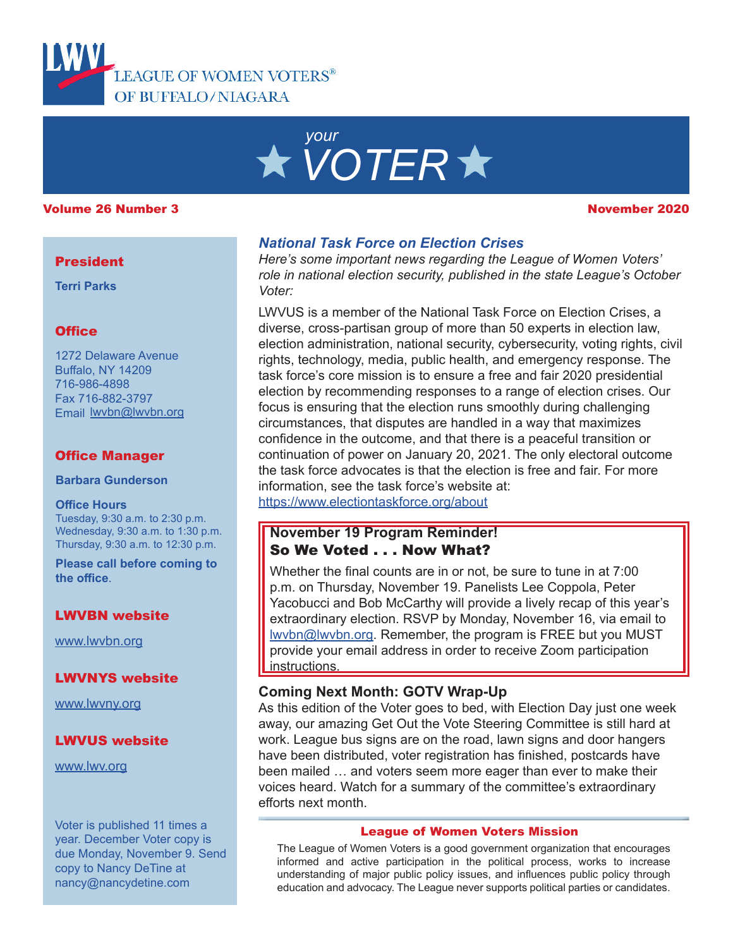

# *your VOTER*

#### Volume 26 Number 3 November 2020

#### **President**

**Terri Parks**

#### **Office**

1272 Delaware Avenue Buffalo, NY 14209 716-986-4898 Fax 716-882-3797 Email lwvbn@lwvbn.org

#### Office Manager

**Barbara Gunderson**

#### **Office Hours**

Tuesday, 9:30 a.m. to 2:30 p.m. Wednesday, 9:30 a.m. to 1:30 p.m. Thursday, 9:30 a.m. to 12:30 p.m.

**Please call before coming to the office**.

#### LWVBN website

[www.lwvbn.org](https://www.lwvbn.org/)

#### LWVNYS website

[www.lwvny.org](https://www.lwvny.org/)

#### LWVUS website

[www.lwv.org](https://www.lwv.org/)

Voter is published 11 times a year. December Voter copy is due Monday, November 9. Send copy to Nancy DeTine at nancy@nancydetine.com

#### *National Task Force on Election Crises*

*Here's some important news regarding the League of Women Voters' role in national election security, published in the state League's October Voter:*

LWVUS is a member of the National Task Force on Election Crises, a diverse, cross-partisan group of more than 50 experts in election law, election administration, national security, cybersecurity, voting rights, civil rights, technology, media, public health, and emergency response. The task force's core mission is to ensure a free and fair 2020 presidential election by recommending responses to a range of election crises. Our focus is ensuring that the election runs smoothly during challenging circumstances, that disputes are handled in a way that maximizes confidence in the outcome, and that there is a peaceful transition or continuation of power on January 20, 2021. The only electoral outcome the task force advocates is that the election is free and fair. For more information, see the task force's website at:

<https://www.electiontaskforce.org/about>

#### **November 19 Program Reminder!** So We Voted . . . Now What?

Whether the final counts are in or not, be sure to tune in at 7:00 p.m. on Thursday, November 19. Panelists Lee Coppola, Peter Yacobucci and Bob McCarthy will provide a lively recap of this year's extraordinary election. RSVP by Monday, November 16, via email to lwvbn@lwvbn.org. Remember, the program is FREE but you MUST provide your email address in order to receive Zoom participation instructions.

#### **Coming Next Month: GOTV Wrap-Up**

As this edition of the Voter goes to bed, with Election Day just one week away, our amazing Get Out the Vote Steering Committee is still hard at work. League bus signs are on the road, lawn signs and door hangers have been distributed, voter registration has finished, postcards have been mailed … and voters seem more eager than ever to make their voices heard. Watch for a summary of the committee's extraordinary efforts next month.

#### League of Women Voters Mission

The League of Women Voters is a good government organization that encourages informed and active participation in the political process, works to increase understanding of major public policy issues, and influences public policy through education and advocacy. The League never supports political parties or candidates.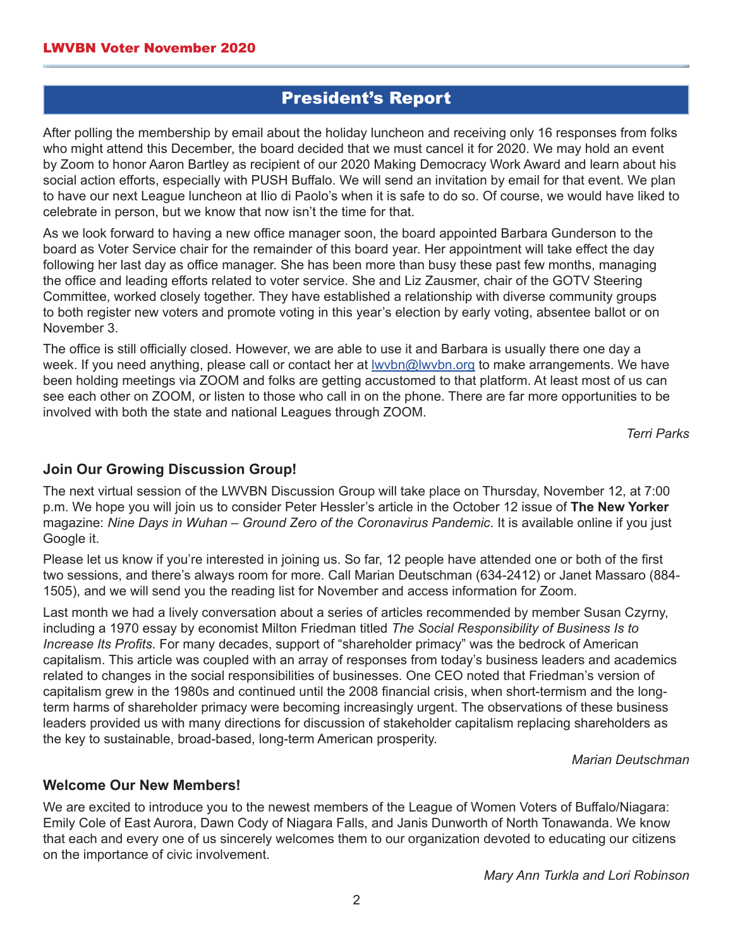## President's Report

After polling the membership by email about the holiday luncheon and receiving only 16 responses from folks who might attend this December, the board decided that we must cancel it for 2020. We may hold an event by Zoom to honor Aaron Bartley as recipient of our 2020 Making Democracy Work Award and learn about his social action efforts, especially with PUSH Buffalo. We will send an invitation by email for that event. We plan to have our next League luncheon at Ilio di Paolo's when it is safe to do so. Of course, we would have liked to celebrate in person, but we know that now isn't the time for that.

As we look forward to having a new office manager soon, the board appointed Barbara Gunderson to the board as Voter Service chair for the remainder of this board year. Her appointment will take effect the day following her last day as office manager. She has been more than busy these past few months, managing the office and leading efforts related to voter service. She and Liz Zausmer, chair of the GOTV Steering Committee, worked closely together. They have established a relationship with diverse community groups to both register new voters and promote voting in this year's election by early voting, absentee ballot or on November 3.

The office is still officially closed. However, we are able to use it and Barbara is usually there one day a week. If you need anything, please call or contact her at <u>lwybn@lwybn.org</u> to make arrangements. We have been holding meetings via ZOOM and folks are getting accustomed to that platform. At least most of us can see each other on ZOOM, or listen to those who call in on the phone. There are far more opportunities to be involved with both the state and national Leagues through ZOOM.

*Terri Parks*

#### **Join Our Growing Discussion Group!**

The next virtual session of the LWVBN Discussion Group will take place on Thursday, November 12, at 7:00 p.m. We hope you will join us to consider Peter Hessler's article in the October 12 issue of **The New Yorker** magazine: *Nine Days in Wuhan – Ground Zero of the Coronavirus Pandemic*. It is available online if you just Google it.

Please let us know if you're interested in joining us. So far, 12 people have attended one or both of the first two sessions, and there's always room for more. Call Marian Deutschman (634-2412) or Janet Massaro (884- 1505), and we will send you the reading list for November and access information for Zoom.

Last month we had a lively conversation about a series of articles recommended by member Susan Czyrny, including a 1970 essay by economist Milton Friedman titled *The Social Responsibility of Business Is to Increase Its Profits*. For many decades, support of "shareholder primacy" was the bedrock of American capitalism. This article was coupled with an array of responses from today's business leaders and academics related to changes in the social responsibilities of businesses. One CEO noted that Friedman's version of capitalism grew in the 1980s and continued until the 2008 financial crisis, when short-termism and the longterm harms of shareholder primacy were becoming increasingly urgent. The observations of these business leaders provided us with many directions for discussion of stakeholder capitalism replacing shareholders as the key to sustainable, broad-based, long-term American prosperity.

*Marian Deutschman*

#### **Welcome Our New Members!**

We are excited to introduce you to the newest members of the League of Women Voters of Buffalo/Niagara: Emily Cole of East Aurora, Dawn Cody of Niagara Falls, and Janis Dunworth of North Tonawanda. We know that each and every one of us sincerely welcomes them to our organization devoted to educating our citizens on the importance of civic involvement.

*Mary Ann Turkla and Lori Robinson*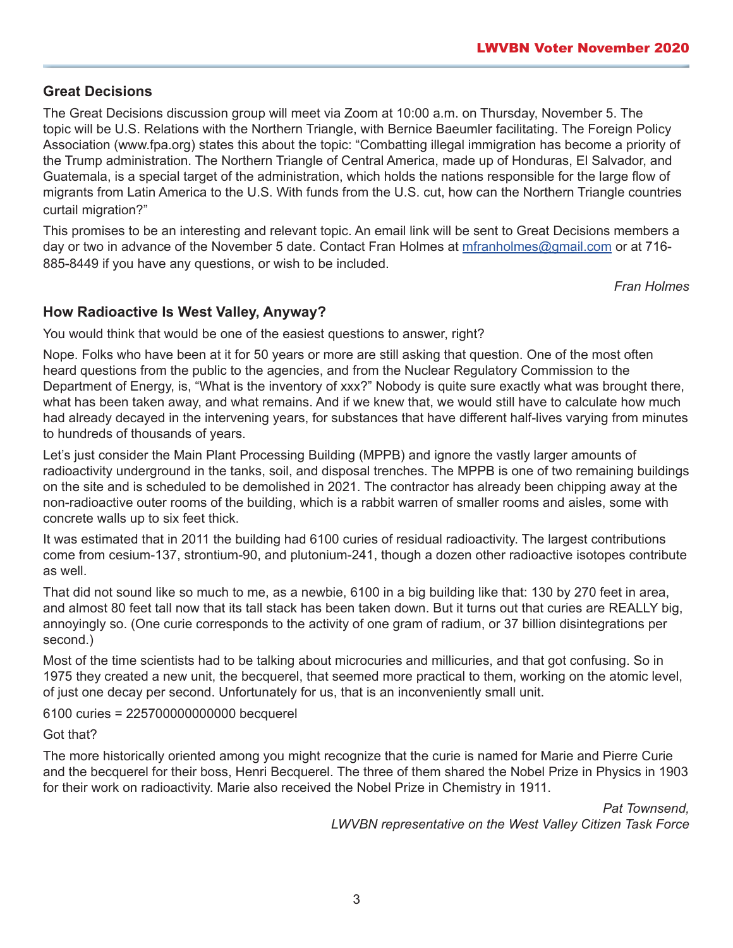### **Great Decisions**

The Great Decisions discussion group will meet via Zoom at 10:00 a.m. on Thursday, November 5. The topic will be U.S. Relations with the Northern Triangle, with Bernice Baeumler facilitating. The Foreign Policy Association (www.fpa.org) states this about the topic: "Combatting illegal immigration has become a priority of the Trump administration. The Northern Triangle of Central America, made up of Honduras, El Salvador, and Guatemala, is a special target of the administration, which holds the nations responsible for the large flow of migrants from Latin America to the U.S. With funds from the U.S. cut, how can the Northern Triangle countries curtail migration?"

This promises to be an interesting and relevant topic. An email link will be sent to Great Decisions members a day or two in advance of the November 5 date. Contact Fran Holmes at [mfranholmes@gmail.com](mailto://mfranholmes@gmail.com) or at 716- 885-8449 if you have any questions, or wish to be included.

*Fran Holmes*

#### **How Radioactive Is West Valley, Anyway?**

You would think that would be one of the easiest questions to answer, right?

Nope. Folks who have been at it for 50 years or more are still asking that question. One of the most often heard questions from the public to the agencies, and from the Nuclear Regulatory Commission to the Department of Energy, is, "What is the inventory of xxx?" Nobody is quite sure exactly what was brought there, what has been taken away, and what remains. And if we knew that, we would still have to calculate how much had already decayed in the intervening years, for substances that have different half-lives varying from minutes to hundreds of thousands of years.

Let's just consider the Main Plant Processing Building (MPPB) and ignore the vastly larger amounts of radioactivity underground in the tanks, soil, and disposal trenches. The MPPB is one of two remaining buildings on the site and is scheduled to be demolished in 2021. The contractor has already been chipping away at the non-radioactive outer rooms of the building, which is a rabbit warren of smaller rooms and aisles, some with concrete walls up to six feet thick.

It was estimated that in 2011 the building had 6100 curies of residual radioactivity. The largest contributions come from cesium-137, strontium-90, and plutonium-241, though a dozen other radioactive isotopes contribute as well.

That did not sound like so much to me, as a newbie, 6100 in a big building like that: 130 by 270 feet in area, and almost 80 feet tall now that its tall stack has been taken down. But it turns out that curies are REALLY big, annoyingly so. (One curie corresponds to the activity of one gram of radium, or 37 billion disintegrations per second.)

Most of the time scientists had to be talking about microcuries and millicuries, and that got confusing. So in 1975 they created a new unit, the becquerel, that seemed more practical to them, working on the atomic level, of just one decay per second. Unfortunately for us, that is an inconveniently small unit.

6100 curies = 225700000000000 becquerel

Got that?

The more historically oriented among you might recognize that the curie is named for Marie and Pierre Curie and the becquerel for their boss, Henri Becquerel. The three of them shared the Nobel Prize in Physics in 1903 for their work on radioactivity. Marie also received the Nobel Prize in Chemistry in 1911.

> *Pat Townsend, LWVBN representative on the West Valley Citizen Task Force*